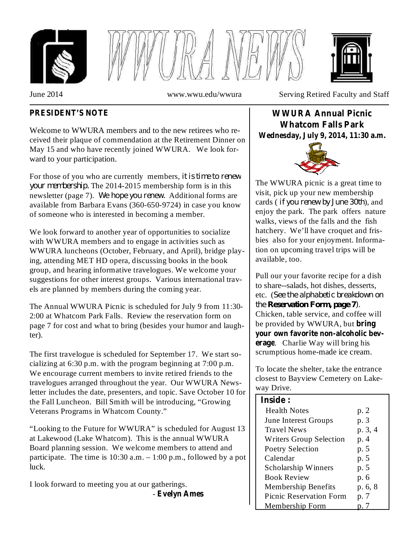





June 2014 www.wwu.edu/wwura Serving Retired Faculty and Staff

# **PRESIDENT'S NOTE**

Welcome to WWURA members and to the new retirees who received their plaque of commendation at the Retirement Dinner on May 15 and who have recently joined WWURA. We look forward to your participation.

For those of you who are currently members, *it is time to renew* your *membership*. The 2014-2015 membership form is in this how *newsletter* (page 7). We hope you renew. Additional forms are available from Barbara Evans (360-650-9724) in case you know of someone who is interested in becoming a member.

We look forward to another year of opportunities to socialize with WWURA members and to engage in activities such as WWURA luncheons (October, February, and April), bridge playing, attending MET HD opera, discussing books in the book group, and hearing informative travelogues. We welcome your suggestions for other interest groups. Various international travels are planned by members during the coming year.

The Annual WWURA Picnic is scheduled for July 9 from 11:30- 2:00 at Whatcom Park Falls. Review the reservation form on page 7 for cost and what to bring (besides your humor and laughter).

The first travelogue is scheduled for September 17. We start socializing at 6:30 p.m. with the program beginning at 7:00 p.m. We encourage current members to invite retired friends to the travelogues arranged throughout the year. Our WWURA Newsletter includes the date, presenters, and topic. Save October 10 for the Fall Luncheon. Bill Smith will be introducing, "Growing Veterans Programs in Whatcom County."

"Looking to the Future for WWURA" is scheduled for August 13 at Lakewood (Lake Whatcom). This is the annual WWURA Board planning session. We welcome members to attend and participate. The time is  $10:30$  a.m.  $-1:00$  p.m., followed by a pot luck.

I look forward to meeting you at our gatherings.

- **Evelyn Ames**

# **WWURA Annual Picnic Whatcom Falls Park Wednesday, July 9, 2014, 11:30 a.m.**



The WWURA picnic is a great time to visit, pick up your new membership cards (*if you renew by June* 30th), and enjoy the park. The park offers nature walks, views of the falls and the fish hatchery. We'll have croquet and frisbies also for your enjoyment. Information on upcoming travel trips will be available, too.

Pull our your favorite recipe for a dish to share--salads, hot dishes, desserts, etc. ( *See the alphabetic breakdown on* Chicken, table service, and coffee will be provided by WWURA, but **bring** . Charlie Way will bring his **erage** scrumptious home-made ice cream. **your own favorite non-alcoholic bev***the Reservation Form, page 7).*

To locate the shelter, take the entrance closest to Bayview Cemetery on Lakeway Drive.

## **Inside :**

| шмис                           |         |
|--------------------------------|---------|
| <b>Health Notes</b>            | p. 2    |
| June Interest Groups           | p. 3    |
| <b>Travel News</b>             | p. 3, 4 |
| <b>Writers Group Selection</b> | p. 4    |
| <b>Poetry Selection</b>        | p. 5    |
| Calendar                       | p. 5    |
| Scholarship Winners            | p. 5    |
| <b>Book Review</b>             | p. 6    |
| <b>Membership Benefits</b>     | p. 6, 8 |
| <b>Picnic Reservation Form</b> | p. 7    |
| Membership Form                |         |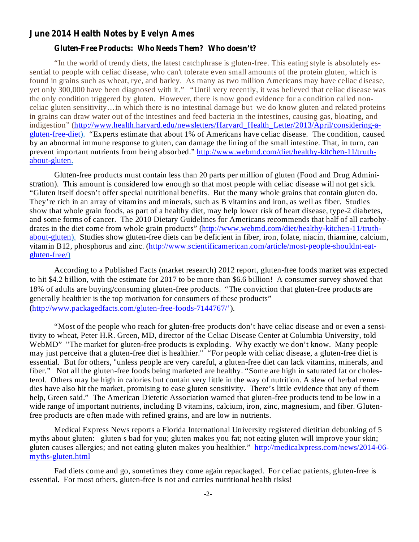#### **June 2014 Health Notes by Evelyn Ames**

#### **Gluten-Free Products: Who Needs Them? Who doesn't?**

"In the world of trendy diets, the latest catchphrase is gluten-free. This eating style is absolutely essential to people with celiac disease, who can't tolerate even small amounts of the protein gluten, which is found in grains such as wheat, rye, and barley. As many as two million Americans may have celiac disease, yet only 300,000 have been diagnosed with it." "Until very recently, it was believed that celiac disease was the only condition triggered by gluten. However, there is now good evidence for a condition called nonceliac gluten sensitivity…in which there is no intestinal damage but we do know gluten and related proteins in grains can draw water out of the intestines and feed bacteria in the intestines, causing gas, bloating, and indigestion" (http://www.health.harvard.edu/newsletters/Harvard\_Health\_Letter/2013/April/considering-agluten-free-diet). "Experts estimate that about 1% of Americans have celiac disease. The condition, caused by an abnormal immune response to gluten, can damage the lining of the small intestine. That, in turn, can prevent important nutrients from being absorbed." http://www.webmd.com/diet/healthy-kitchen-11/truthabout-gluten.

Gluten-free products must contain less than 20 parts per million of gluten (Food and Drug Administration). This amount is considered low enough so that most people with celiac disease will not get sick. "Gluten itself doesn't offer special nutritional benefits. But the many whole grains that contain gluten do. They're rich in an array of vitamins and minerals, such as B vitamins and iron, as well as fiber. Studies show that whole grain foods, as part of a healthy diet, may help lower risk of heart disease, type-2 diabetes, and some forms of cancer. The 2010 Dietary Guidelines for Americans recommends that half of all carbohydrates in the diet come from whole grain products" (http://www.webmd.com/diet/healthy-kitchen-11/truthabout-gluten). Studies show gluten-free diets can be deficient in fiber, iron, folate, niacin, thiamine, calcium, vitamin B12, phosphorus and zinc. (http://www.scientificamerican.com/article/most-people-shouldnt-eatgluten-free/)

According to a Published Facts (market research) 2012 report, gluten-free foods market was expected to hit \$4.2 billion, with the estimate for 2017 to be more than \$6.6 billion! A consumer survey showed that 18% of adults are buying/consuming gluten-free products. "The conviction that gluten-free products are generally healthier is the top motivation for consumers of these products" (http://www.packagedfacts.com/gluten-free-foods-7144767/').

"Most of the people who reach for gluten-free products don't have celiac disease and or even a sensitivity to wheat, Peter H.R. Green, MD, director of the Celiac Disease Center at Columbia University, told WebMD" "The market for gluten-free products is exploding. Why exactly we don't know. Many people may just perceive that a gluten-free diet is healthier." "For people with celiac disease, a gluten-free diet is essential. But for others, "unless people are very careful, a gluten-free diet can lack vitamins, minerals, and fiber." Not all the gluten-free foods being marketed are healthy. "Some are high in saturated fat or cholesterol. Others may be high in calories but contain very little in the way of nutrition. A slew of herbal remedies have also hit the market, promising to ease gluten sensitivity. There's little evidence that any of them help, Green said." The American Dietetic Association warned that gluten-free products tend to be low in a wide range of important nutrients, including B vitamins, calcium, iron, zinc, magnesium, and fiber. Glutenfree products are often made with refined grains, and are low in nutrients.

Medical Express News reports a Florida International University registered dietitian debunking of 5 myths about gluten: gluten s bad for you; gluten makes you fat; not eating gluten will improve your skin; gluten causes allergies; and not eating gluten makes you healthier." http://medicalxpress.com/news/2014-06myths-gluten.html

Fad diets come and go, sometimes they come again repackaged. For celiac patients, gluten-free is essential. For most others, gluten-free is not and carries nutritional health risks!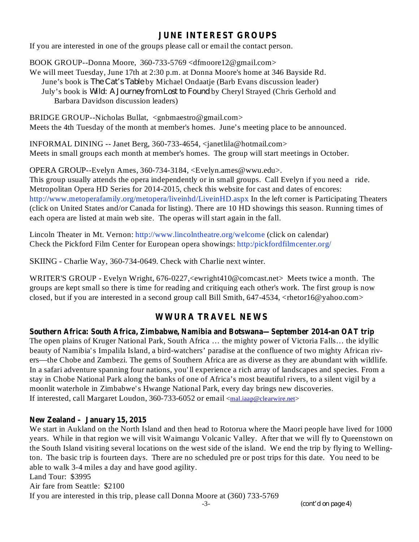# **JUNE INTEREST GROUPS**

If you are interested in one of the groups please call or email the contact person.

BOOK GROUP--Donna Moore, 360-733-5769 <dfmoore12@gmail.com>

We will meet Tuesday, June 17th at 2:30 p.m. at Donna Moore's home at 346 Bayside Rd. June's book is *The Cat's Table* by Michael Ondaatje (Barb Evans discussion leader) July's book is Wild: A *Journey from Lost to Found* by Cheryl Strayed (Chris Gerhold and Barbara Davidson discussion leaders)

BRIDGE GROUP--Nicholas Bullat, <gnbmaestro@gmail.com> Meets the 4th Tuesday of the month at member's homes. June's meeting place to be announced.

INFORMAL DINING -- Janet Berg, 360-733-4654, <janetlila@hotmail.com> Meets in small groups each month at member's homes. The group will start meetings in October.

OPERA GROUP--Evelyn Ames, 360-734-3184, <Evelyn.ames@wwu.edu>. This group usually attends the opera independently or in small groups. Call Evelyn if you need a ride. Metropolitan Opera HD Series for 2014-2015, check this website for cast and dates of encores: http://www.metoperafamily.org/metopera/liveinhd/LiveinHD.aspx In the left corner is Participating Theaters (click on United States and/or Canada for listing). There are 10 HD showings this season. Running times of each opera are listed at main web site. The operas will start again in the fall.

Lincoln Theater in Mt. Vernon: http://www.lincolntheatre.org/welcome (click on calendar) Check the Pickford Film Center for European opera showings: http:/pickfordfilmcenter.org/

SKIING - Charlie Way, 360-734-0649. Check with Charlie next winter.

WRITER'S GROUP - Evelyn Wright, 676-0227,<ewright410@comcast.net> Meets twice a month. The groups are kept small so there is time for reading and critiquing each other's work. The first group is now closed, but if you are interested in a second group call Bill Smith, 647-4534, <rhetor16@yahoo.com>

# **WWURA TRAVEL NEWS**

**Southern Africa: South Africa, Zimbabwe, Namibia and Botswana—September 2014-an OAT trip** The open plains of Kruger National Park, South Africa … the mighty power of Victoria Falls… the idyllic beauty of Namibia's Impalila Island, a bird-watchers' paradise at the confluence of two mighty African rivers—the Chobe and Zambezi. The gems of Southern Africa are as diverse as they are abundant with wildlife. In a safari adventure spanning four nations, you' ll experience a rich array of landscapes and species. From a stay in Chobe National Park along the banks of one of Africa's most beautiful rivers, to a silent vigil by a moonlit waterhole in Zimbabwe's Hwange National Park, every day brings new discoveries. If interested, call Margaret Loudon, 360-733-6052 or email <mal.iaap@clearwire.net>

## **New Zealand – January 15, 2015**

We start in Aukland on the North Island and then head to Rotorua where the Maori people have lived for 1000 years. While in that region we will visit Waimangu Volcanic Valley. After that we will fly to Queenstown on the South Island visiting several locations on the west side of the island. We end the trip by flying to Wellington. The basic trip is fourteen days. There are no scheduled pre or post trips for this date. You need to be able to walk 3-4 miles a day and have good agility. Land Tour: \$3995

Air fare from Seattle: \$2100

If you are interested in this trip, please call Donna Moore at (360) 733-5769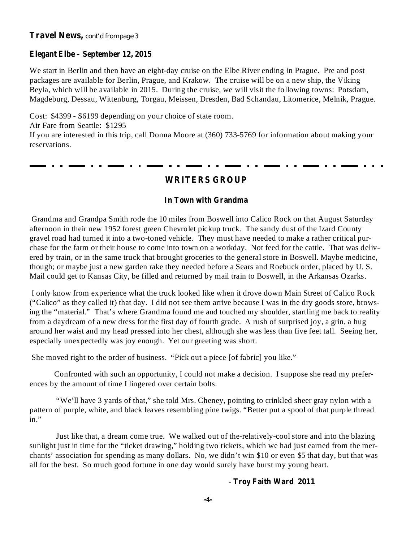## **Elegant Elbe – September 12, 2015**

We start in Berlin and then have an eight-day cruise on the Elbe River ending in Prague. Pre and post packages are available for Berlin, Prague, and Krakow. The cruise will be on a new ship, the Viking Beyla, which will be available in 2015. During the cruise, we will visit the following towns: Potsdam, Magdeburg, Dessau, Wittenburg, Torgau, Meissen, Dresden, Bad Schandau, Litomerice, Melnik, Prague.

Cost: \$4399 - \$6199 depending on your choice of state room. Air Fare from Seattle: \$1295 If you are interested in this trip, call Donna Moore at (360) 733-5769 for information about making your reservations.

# **WRITERS GROUP**

## **In Town with Grandma**

Grandma and Grandpa Smith rode the 10 miles from Boswell into Calico Rock on that August Saturday afternoon in their new 1952 forest green Chevrolet pickup truck. The sandy dust of the Izard County gravel road had turned it into a two-toned vehicle. They must have needed to make a rather critical purchase for the farm or their house to come into town on a workday. Not feed for the cattle. That was delivered by train, or in the same truck that brought groceries to the general store in Boswell. Maybe medicine, though; or maybe just a new garden rake they needed before a Sears and Roebuck order, placed by U. S. Mail could get to Kansas City, be filled and returned by mail train to Boswell, in the Arkansas Ozarks.

I only know from experience what the truck looked like when it drove down Main Street of Calico Rock ("Calico" as they called it) that day. I did not see them arrive because I was in the dry goods store, browsing the "material." That's where Grandma found me and touched my shoulder, startling me back to reality from a daydream of a new dress for the first day of fourth grade. A rush of surprised joy, a grin, a hug around her waist and my head pressed into her chest, although she was less than five feet tall. Seeing her, especially unexpectedly was joy enough. Yet our greeting was short.

She moved right to the order of business. "Pick out a piece [of fabric] you like."

Confronted with such an opportunity, I could not make a decision. I suppose she read my preferences by the amount of time I lingered over certain bolts.

"We'll have 3 yards of that," she told Mrs. Cheney, pointing to crinkled sheer gray nylon with a pattern of purple, white, and black leaves resembling pine twigs. "Better put a spool of that purple thread in."

Just like that, a dream come true. We walked out of the-relatively-cool store and into the blazing sunlight just in time for the "ticket drawing," holding two tickets, which we had just earned from the merchants' association for spending as many dollars. No, we didn't win \$10 or even \$5 that day, but that was all for the best. So much good fortune in one day would surely have burst my young heart.

## **Troy Faith Ward 2011** -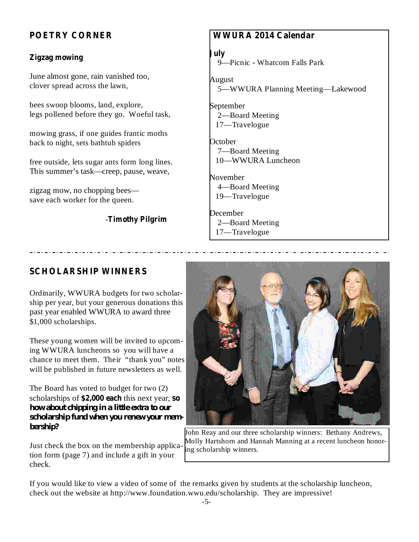# **POETRY CORNER**

## **Zigzag mowing**

June almost gone, rain vanished too, clover spread across the lawn,

bees swoop blooms, land, explore, legs pollened before they go. Woeful task,

mowing grass, if one guides frantic moths back to night, sets bathtub spiders

free outside, lets sugar ants form long lines. This summer's task—creep, pause, weave,

zigzag mow, no chopping bees save each worker for the queen.

## **Timothy Pilgrim** -

# **WWURA 2014 Calendar**

#### **July**

9—Picnic - Whatcom Falls Park

August 5—WWURA Planning Meeting—Lakewood

September 2—Board Meeting 17—Travelogue

**October** 7—Board Meeting 10—WWURA Luncheon

November 4—Board Meeting 19—Travelogue

December 2—Board Meeting 17—Travelogue

## **SCHOLARSHIP WINNERS**

Ordinarily, WWURA budgets for two scholarship per year, but your generous donations this past year enabled WWURA to award three \$1,000 scholarships.

These young women will be invited to upcoming WWURA luncheons so you will have a chance to meet them. Their "thank you" notes will be published in future newsletters as well.

scholarships of \$2,000 each this next year, so The Board has voted to budget for two (2) *how about chipping in a little extra to our scholarship fund when you renew your membership?*

Just check the box on the membership application form (page 7) and include a gift in your check.



John Reay and our three scholarship winners: Bethany Andrews, Molly Hartshorn and Hannah Manning at a recent luncheon honoring scholarship winners.

If you would like to view a video of some of the remarks given by students at the scholarship luncheon, check out the website at http://www.foundation.wwu.edu/scholarship. They are impressive!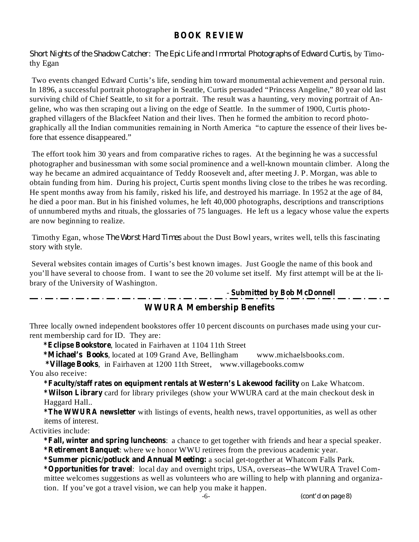## **BOOK REVIEW**

*Short Nights of the Shadow Catcher: The Epic Life and Immortal Photographs of Edward Curtis,* by Timothy Egan

Two events changed Edward Curtis's life, sending him toward monumental achievement and personal ruin. In 1896, a successful portrait photographer in Seattle, Curtis persuaded "Princess Angeline," 80 year old last surviving child of Chief Seattle, to sit for a portrait. The result was a haunting, very moving portrait of Angeline, who was then scraping out a living on the edge of Seattle. In the summer of 1900, Curtis photographed villagers of the Blackfeet Nation and their lives. Then he formed the ambition to record photographically all the Indian communities remaining in North America "to capture the essence of their lives before that essence disappeared."

The effort took him 30 years and from comparative riches to rages. At the beginning he was a successful photographer and businessman with some social prominence and a well-known mountain climber. Along the way he became an admired acquaintance of Teddy Roosevelt and, after meeting J. P. Morgan, was able to obtain funding from him. During his project, Curtis spent months living close to the tribes he was recording. He spent months away from his family, risked his life, and destroyed his marriage. In 1952 at the age of 84, he died a poor man. But in his finished volumes, he left 40,000 photographs, descriptions and transcriptions of unnumbered myths and rituals, the glossaries of 75 languages. He left us a legacy whose value the experts are now beginning to realize.

*Timothy Egan, whose <i>The Worst Hard Times* about the Dust Bowl years, writes well, tells this fascinating story with style.

Several websites contain images of Curtis's best known images. Just Google the name of this book and you'll have several to choose from. I want to see the 20 volume set itself. My first attempt will be at the library of the University of Washington.

**Submitted by Bob McDonnell** -

# **WWURA Membership Benefits**

Three locally owned independent bookstores offer 10 percent discounts on purchases made using your current membership card for ID. They are:

**\*Eclipse Bookstore** , located in Fairhaven at 1104 11th Street

**\*Michael's Books** , located at 109 Grand Ave, Bellingham www.michaelsbooks.com.

**\*Village Books** , in Fairhaven at 1200 11th Street, www.villagebooks.comw You also receive:

**\*Faculty/staff rates on equipment rentals at Western's Lakewood facility** on Lake Whatcom.

**\*Wilson Library** card for library privileges (show your WWURA card at the main checkout desk in Haggard Hall..

**\*The WWURA newsletter** with listings of events, health news, travel opportunities, as well as other items of interest.

Activities include:

**\*Fall, winter and spring luncheons** : a chance to get together with friends and hear a special speaker. **\*Retirement Banquet** : where we honor WWU retirees from the previous academic year.

**\*Summer picnic/potluck and Annual Meeting:** a social get-together at Whatcom Falls Park.

**\*Opportunities for travel** : local day and overnight trips, USA, overseas--the WWURA Travel Committee welcomes suggestions as well as volunteers who are willing to help with planning and organization. If you've got a travel vision, we can help you make it happen.

*(cont'd on page 8)*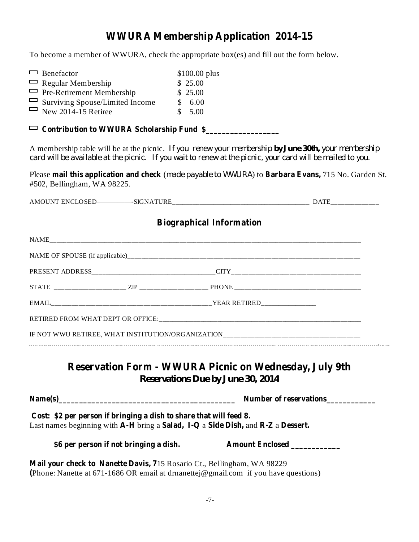# **WWURA Membership Application 2014-15**

To become a member of WWURA, check the appropriate box(es) and fill out the form below.

| $\Box$ Benefactor                      | $$100.00$ plus |  |
|----------------------------------------|----------------|--|
| $\Box$ Regular Membership              | \$25.00        |  |
| $\Box$ Pre-Retirement Membership       | \$25.00        |  |
| $\Box$ Surviving Spouse/Limited Income | \$6.00         |  |
| $\Box$ New 2014-15 Retiree             | \$5.00         |  |

| $\Box$ Contribution to WWURA Scholarship Fund \$ |  |
|--------------------------------------------------|--|
|--------------------------------------------------|--|

A membership table will be at the picnic. *If you renew your membership your membership by June 30th,* card will be available at the picnic. If you wait to renew at the picnic, your card will be mailed to you.

Please mail this application and check (made payable to WWURA) to Barbara Evans, 715 No. Garden St. #502, Bellingham, WA 98225.

AMOUNT ENCLOSED—————-SIGNATURE\_\_\_\_\_\_\_\_\_\_\_\_\_\_\_\_\_\_\_\_\_\_\_\_\_\_\_\_\_\_\_\_\_\_\_\_\_\_\_\_ DATE\_\_\_\_\_\_\_\_\_\_\_\_\_\_

# **Biographical Information**

| IF NOT WWU RETIREE, WHAT INSTITUTION/ORGANIZATION_______________________________ |  |  |  |  |  |  |
|----------------------------------------------------------------------------------|--|--|--|--|--|--|
|                                                                                  |  |  |  |  |  |  |

# **Reservation Form - WWURA Picnic on Wednesday, July 9th** *Reservations Due by June 30, 2014*

| Name(s)                                                                                                                                                | Number of reservations |  |  |
|--------------------------------------------------------------------------------------------------------------------------------------------------------|------------------------|--|--|
| Cost: \$2 per person if bringing a dish to share that will feed 8.<br>Last names beginning with A-H bring a Salad, I-Q a Side Dish, and R-Z a Dessert. |                        |  |  |
| \$6 per person if not bringing a dish.                                                                                                                 | <b>Amount Enclosed</b> |  |  |

**Mail your check to Nanette Davis, 7** 15 Rosario Ct., Bellingham, WA 98229 **(** Phone: Nanette at 671-1686 OR email at drnanettej@gmail.com if you have questions)